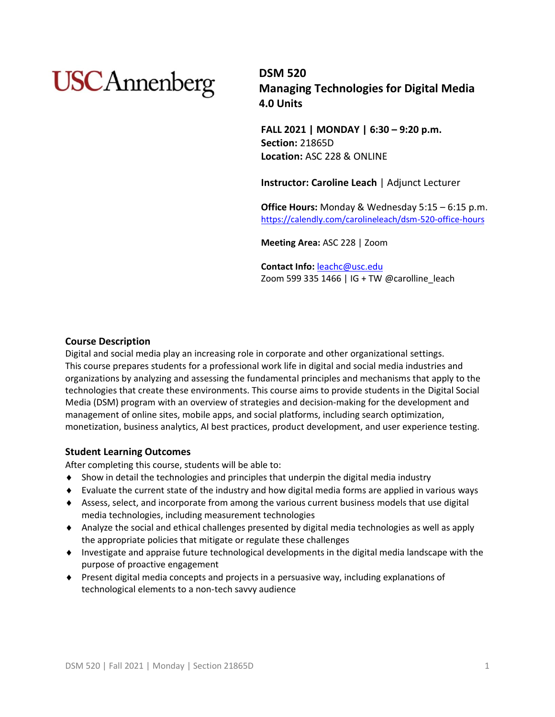# **USC**Annenberg

**DSM 520 Managing Technologies for Digital Media 4.0 Units**

**FALL 2021 | MONDAY | 6:30 – 9:20 p.m. Section:** 21865D **Location:** ASC 228 & ONLINE

**Instructor: Caroline Leach** | Adjunct Lecturer

**Office Hours:** Monday & Wednesday 5:15 – 6:15 p.m. <https://calendly.com/carolineleach/dsm-520-office-hours>

**Meeting Area:** ASC 228 | Zoom

**Contact Info:** [leachc@usc.edu](mailto:leachc@usc.edu) Zoom 599 335 1466 | IG + TW @carolline\_leach

## **Course Description**

Digital and social media play an increasing role in corporate and other organizational settings. This course prepares students for a professional work life in digital and social media industries and organizations by analyzing and assessing the fundamental principles and mechanisms that apply to the technologies that create these environments. This course aims to provide students in the Digital Social Media (DSM) program with an overview of strategies and decision-making for the development and management of online sites, mobile apps, and social platforms, including search optimization, monetization, business analytics, AI best practices, product development, and user experience testing.

### **Student Learning Outcomes**

After completing this course, students will be able to:

- Show in detail the technologies and principles that underpin the digital media industry
- Evaluate the current state of the industry and how digital media forms are applied in various ways
- Assess, select, and incorporate from among the various current business models that use digital media technologies, including measurement technologies
- Analyze the social and ethical challenges presented by digital media technologies as well as apply the appropriate policies that mitigate or regulate these challenges
- Investigate and appraise future technological developments in the digital media landscape with the purpose of proactive engagement
- Present digital media concepts and projects in a persuasive way, including explanations of technological elements to a non-tech savvy audience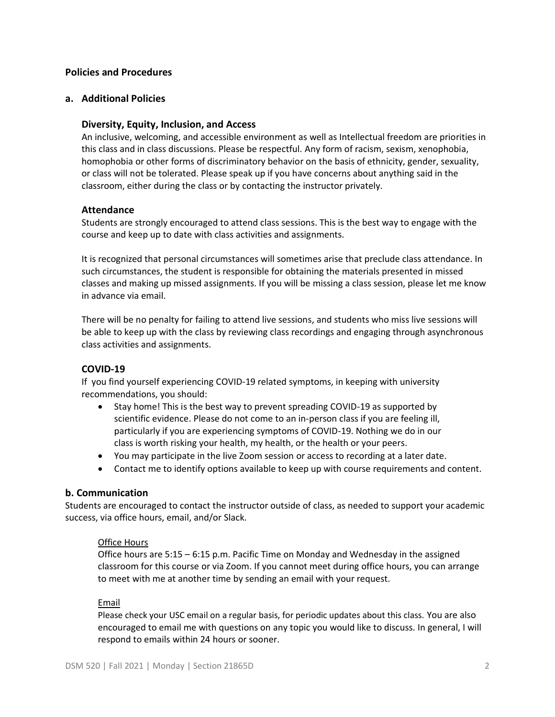## **Policies and Procedures**

### **a. Additional Policies**

## **Diversity, Equity, Inclusion, and Access**

An inclusive, welcoming, and accessible environment as well as Intellectual freedom are priorities in this class and in class discussions. Please be respectful. Any form of racism, sexism, xenophobia, homophobia or other forms of discriminatory behavior on the basis of ethnicity, gender, sexuality, or class will not be tolerated. Please speak up if you have concerns about anything said in the classroom, either during the class or by contacting the instructor privately.

### **Attendance**

Students are strongly encouraged to attend class sessions. This is the best way to engage with the course and keep up to date with class activities and assignments.

It is recognized that personal circumstances will sometimes arise that preclude class attendance. In such circumstances, the student is responsible for obtaining the materials presented in missed classes and making up missed assignments. If you will be missing a class session, please let me know in advance via email.

There will be no penalty for failing to attend live sessions, and students who miss live sessions will be able to keep up with the class by reviewing class recordings and engaging through asynchronous class activities and assignments.

## **COVID-19**

If you find yourself experiencing COVID-19 related symptoms, in keeping with university recommendations, you should:

- Stay home! This is the best way to prevent spreading COVID-19 as supported by scientific evidence. Please do not come to an in-person class if you are feeling ill, particularly if you are experiencing symptoms of COVID-19. Nothing we do in our class is worth risking your health, my health, or the health or your peers.
- You may participate in the live Zoom session or access to recording at a later date.
- Contact me to identify options available to keep up with course requirements and content.

### **b. Communication**

Students are encouraged to contact the instructor outside of class, as needed to support your academic success, via office hours, email, and/or Slack.

### Office Hours

Office hours are 5:15 – 6:15 p.m. Pacific Time on Monday and Wednesday in the assigned classroom for this course or via Zoom. If you cannot meet during office hours, you can arrange to meet with me at another time by sending an email with your request.

### Email

Please check your USC email on a regular basis, for periodic updates about this class. You are also encouraged to email me with questions on any topic you would like to discuss. In general, I will respond to emails within 24 hours or sooner.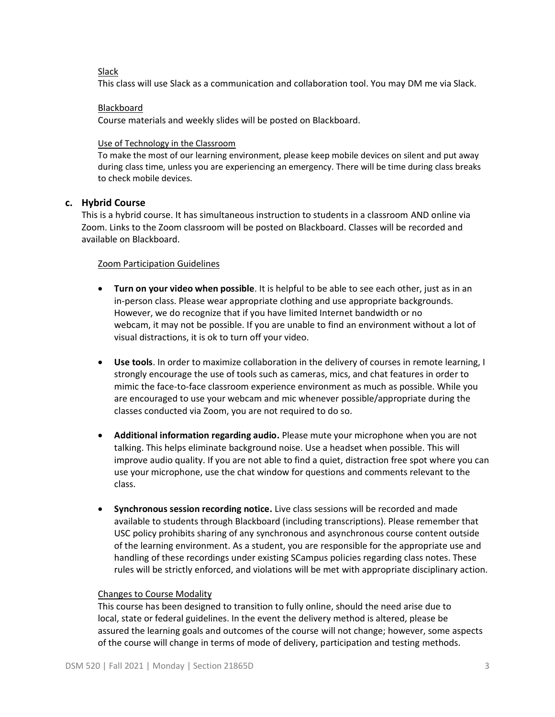## Slack

This class will use Slack as a communication and collaboration tool. You may DM me via Slack.

## Blackboard

Course materials and weekly slides will be posted on Blackboard.

## Use of Technology in the Classroom

To make the most of our learning environment, please keep mobile devices on silent and put away during class time, unless you are experiencing an emergency. There will be time during class breaks to check mobile devices.

## **c. Hybrid Course**

This is a hybrid course. It has simultaneous instruction to students in a classroom AND online via Zoom. Links to the Zoom classroom will be posted on Blackboard. Classes will be recorded and available on Blackboard.

## Zoom Participation Guidelines

- **Turn on your video when possible**. It is helpful to be able to see each other, just as in an in-person class. Please wear appropriate clothing and use appropriate backgrounds. However, we do recognize that if you have limited Internet bandwidth or no webcam, it may not be possible. If you are unable to find an environment without a lot of visual distractions, it is ok to turn off your video.
- **Use tools**. In order to maximize collaboration in the delivery of courses in remote learning, I strongly encourage the use of tools such as cameras, mics, and chat features in order to mimic the face-to-face classroom experience environment as much as possible. While you are encouraged to use your webcam and mic whenever possible/appropriate during the classes conducted via Zoom, you are not required to do so.
- **Additional information regarding audio.** Please mute your microphone when you are not talking. This helps eliminate background noise. Use a headset when possible. This will improve audio quality. If you are not able to find a quiet, distraction free spot where you can use your microphone, use the chat window for questions and comments relevant to the class.
- **Synchronous session recording notice.** Live class sessions will be recorded and made available to students through Blackboard (including transcriptions). Please remember that USC policy prohibits sharing of any synchronous and asynchronous course content outside of the learning environment. As a student, you are responsible for the appropriate use and handling of these recordings under existing SCampus policies regarding class notes. These rules will be strictly enforced, and violations will be met with appropriate disciplinary action.

## Changes to Course Modality

This course has been designed to transition to fully online, should the need arise due to local, state or federal guidelines. In the event the delivery method is altered, please be assured the learning goals and outcomes of the course will not change; however, some aspects of the course will change in terms of mode of delivery, participation and testing methods.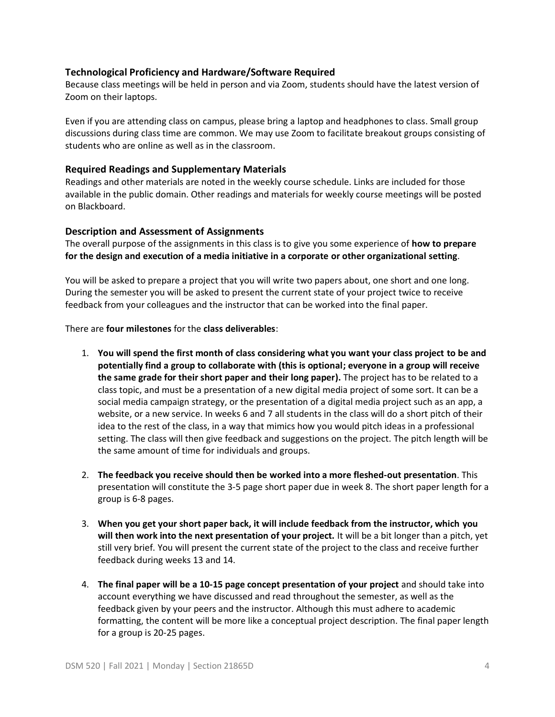## **Technological Proficiency and Hardware/Software Required**

Because class meetings will be held in person and via Zoom, students should have the latest version of Zoom on their laptops.

Even if you are attending class on campus, please bring a laptop and headphones to class. Small group discussions during class time are common. We may use Zoom to facilitate breakout groups consisting of students who are online as well as in the classroom.

## **Required Readings and Supplementary Materials**

Readings and other materials are noted in the weekly course schedule. Links are included for those available in the public domain. Other readings and materials for weekly course meetings will be posted on Blackboard.

## **Description and Assessment of Assignments**

The overall purpose of the assignments in this class is to give you some experience of **how to prepare for the design and execution of a media initiative in a corporate or other organizational setting**.

You will be asked to prepare a project that you will write two papers about, one short and one long. During the semester you will be asked to present the current state of your project twice to receive feedback from your colleagues and the instructor that can be worked into the final paper.

There are **four milestones** for the **class deliverables**:

- 1. **You will spend the first month of class considering what you want your class project to be and potentially find a group to collaborate with (this is optional; everyone in a group will receive the same grade for their short paper and their long paper).** The project has to be related to a class topic, and must be a presentation of a new digital media project of some sort. It can be a social media campaign strategy, or the presentation of a digital media project such as an app, a website, or a new service. In weeks 6 and 7 all students in the class will do a short pitch of their idea to the rest of the class, in a way that mimics how you would pitch ideas in a professional setting. The class will then give feedback and suggestions on the project. The pitch length will be the same amount of time for individuals and groups.
- 2. **The feedback you receive should then be worked into a more fleshed-out presentation**. This presentation will constitute the 3-5 page short paper due in week 8. The short paper length for a group is 6-8 pages.
- 3. **When you get your short paper back, it will include feedback from the instructor, which you will then work into the next presentation of your project.** It will be a bit longer than a pitch, yet still very brief. You will present the current state of the project to the class and receive further feedback during weeks 13 and 14.
- 4. **The final paper will be a 10-15 page concept presentation of your project** and should take into account everything we have discussed and read throughout the semester, as well as the feedback given by your peers and the instructor. Although this must adhere to academic formatting, the content will be more like a conceptual project description. The final paper length for a group is 20-25 pages.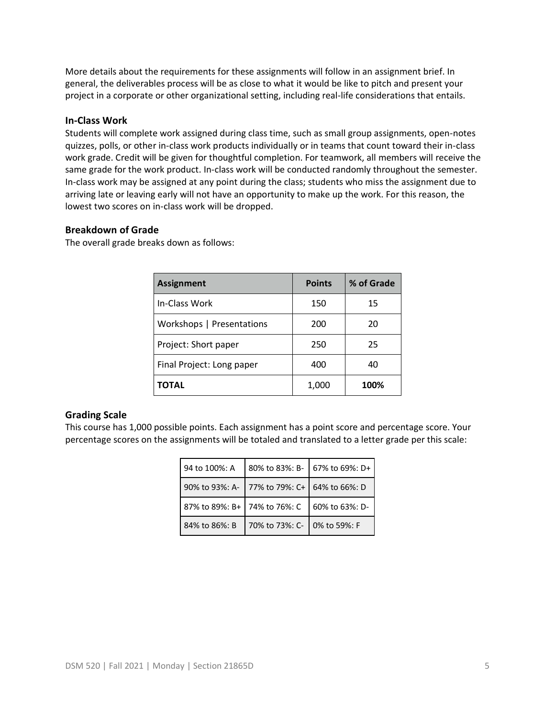More details about the requirements for these assignments will follow in an assignment brief. In general, the deliverables process will be as close to what it would be like to pitch and present your project in a corporate or other organizational setting, including real-life considerations that entails.

## **In-Class Work**

Students will complete work assigned during class time, such as small group assignments, open-notes quizzes, polls, or other in-class work products individually or in teams that count toward their in-class work grade. Credit will be given for thoughtful completion. For teamwork, all members will receive the same grade for the work product. In-class work will be conducted randomly throughout the semester. In-class work may be assigned at any point during the class; students who miss the assignment due to arriving late or leaving early will not have an opportunity to make up the work. For this reason, the lowest two scores on in-class work will be dropped.

## **Breakdown of Grade**

The overall grade breaks down as follows:

| <b>Assignment</b>         | <b>Points</b> | % of Grade |
|---------------------------|---------------|------------|
| In-Class Work             | 150           | 15         |
| Workshops   Presentations | 200           | 20         |
| Project: Short paper      | 250           | 25         |
| Final Project: Long paper | 400           | 40         |
| TOTAL                     | 1,000         | 100%       |

## **Grading Scale**

This course has 1,000 possible points. Each assignment has a point score and percentage score. Your percentage scores on the assignments will be totaled and translated to a letter grade per this scale:

| 94 to 100%: A                | 80% to 83%: B-                              | 67% to 69%: D+ |
|------------------------------|---------------------------------------------|----------------|
|                              | 90% to 93%: A- 77% to 79%: C+ 64% to 66%: D |                |
| 87% to 89%: B+ 74% to 76%: C |                                             | 60% to 63%: D- |
| 84% to 86%: B                | 70% to 73%: C- 0% to 59%: F                 |                |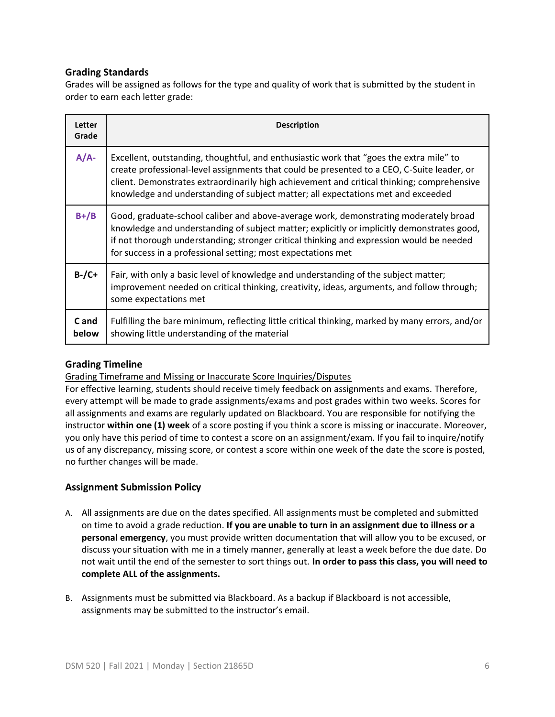## **Grading Standards**

Grades will be assigned as follows for the type and quality of work that is submitted by the student in order to earn each letter grade:

| Letter<br>Grade | <b>Description</b>                                                                                                                                                                                                                                                                                                                                                      |
|-----------------|-------------------------------------------------------------------------------------------------------------------------------------------------------------------------------------------------------------------------------------------------------------------------------------------------------------------------------------------------------------------------|
| $A/A$ -         | Excellent, outstanding, thoughtful, and enthusiastic work that "goes the extra mile" to<br>create professional-level assignments that could be presented to a CEO, C-Suite leader, or<br>client. Demonstrates extraordinarily high achievement and critical thinking; comprehensive<br>knowledge and understanding of subject matter; all expectations met and exceeded |
| $B+ / B$        | Good, graduate-school caliber and above-average work, demonstrating moderately broad<br>knowledge and understanding of subject matter; explicitly or implicitly demonstrates good,<br>if not thorough understanding; stronger critical thinking and expression would be needed<br>for success in a professional setting; most expectations met                          |
| $B$ -/C+        | Fair, with only a basic level of knowledge and understanding of the subject matter;<br>improvement needed on critical thinking, creativity, ideas, arguments, and follow through;<br>some expectations met                                                                                                                                                              |
| C and<br>below  | Fulfilling the bare minimum, reflecting little critical thinking, marked by many errors, and/or<br>showing little understanding of the material                                                                                                                                                                                                                         |

## **Grading Timeline**

Grading Timeframe and Missing or Inaccurate Score Inquiries/Disputes

For effective learning, students should receive timely feedback on assignments and exams. Therefore, every attempt will be made to grade assignments/exams and post grades within two weeks. Scores for all assignments and exams are regularly updated on Blackboard. You are responsible for notifying the instructor **within one (1) week** of a score posting if you think a score is missing or inaccurate. Moreover, you only have this period of time to contest a score on an assignment/exam. If you fail to inquire/notify us of any discrepancy, missing score, or contest a score within one week of the date the score is posted, no further changes will be made.

## **Assignment Submission Policy**

- A. All assignments are due on the dates specified. All assignments must be completed and submitted on time to avoid a grade reduction. **If you are unable to turn in an assignment due to illness or a personal emergency**, you must provide written documentation that will allow you to be excused, or discuss your situation with me in a timely manner, generally at least a week before the due date. Do not wait until the end of the semester to sort things out. **In order to pass this class, you will need to complete ALL of the assignments.**
- B. Assignments must be submitted via Blackboard. As a backup if Blackboard is not accessible, assignments may be submitted to the instructor's email.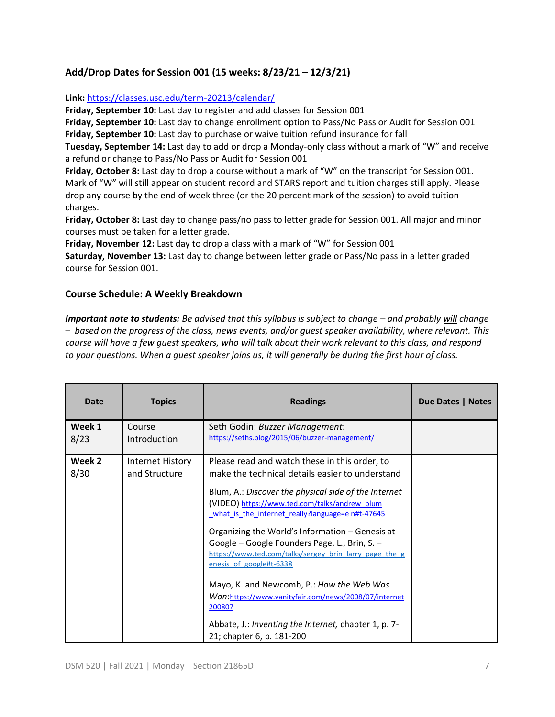## **Add/Drop Dates for Session 001 (15 weeks: 8/23/21 – 12/3/21)**

## **Link:** <https://classes.usc.edu/term-20213/calendar/>

**Friday, September 10:** Last day to register and add classes for Session 001

**Friday, September 10:** Last day to change enrollment option to Pass/No Pass or Audit for Session 001 **Friday, September 10:** Last day to purchase or waive tuition refund insurance for fall

**Tuesday, September 14:** Last day to add or drop a Monday-only class without a mark of "W" and receive a refund or change to Pass/No Pass or Audit for Session 001

**Friday, October 8:** Last day to drop a course without a mark of "W" on the transcript for Session 001. Mark of "W" will still appear on student record and STARS report and tuition charges still apply. Please drop any course by the end of week three (or the 20 percent mark of the session) to avoid tuition charges.

**Friday, October 8:** Last day to change pass/no pass to letter grade for Session 001. All major and minor courses must be taken for a letter grade.

**Friday, November 12:** Last day to drop a class with a mark of "W" for Session 001

**Saturday, November 13:** Last day to change between letter grade or Pass/No pass in a letter graded course for Session 001.

## **Course Schedule: A Weekly Breakdown**

*Important note to students: Be advised that this syllabus is subject to change – and probably will change – based on the progress of the class, news events, and/or guest speaker availability, where relevant. This course will have a few guest speakers, who will talk about their work relevant to this class, and respond to your questions. When a guest speaker joins us, it will generally be during the first hour of class.* 

| <b>Date</b>    | <b>Topics</b>                     | <b>Readings</b>                                                                                                                                                                                                                                                                                                                                                                                                                                                                                                                                                                                                                                            | Due Dates   Notes |
|----------------|-----------------------------------|------------------------------------------------------------------------------------------------------------------------------------------------------------------------------------------------------------------------------------------------------------------------------------------------------------------------------------------------------------------------------------------------------------------------------------------------------------------------------------------------------------------------------------------------------------------------------------------------------------------------------------------------------------|-------------------|
| Week 1<br>8/23 | Course<br><b>Introduction</b>     | Seth Godin: Buzzer Management:<br>https://seths.blog/2015/06/buzzer-management/                                                                                                                                                                                                                                                                                                                                                                                                                                                                                                                                                                            |                   |
| Week 2<br>8/30 | Internet History<br>and Structure | Please read and watch these in this order, to<br>make the technical details easier to understand<br>Blum, A.: Discover the physical side of the Internet<br>(VIDEO) https://www.ted.com/talks/andrew_blum<br>what is the internet really?language=e n#t-47645<br>Organizing the World's Information - Genesis at<br>Google - Google Founders Page, L., Brin, S. -<br>https://www.ted.com/talks/sergey brin larry page the g<br>enesis of google#t-6338<br>Mayo, K. and Newcomb, P.: How the Web Was<br>Won:https://www.vanityfair.com/news/2008/07/internet<br>200807<br>Abbate, J.: Inventing the Internet, chapter 1, p. 7-<br>21; chapter 6, p. 181-200 |                   |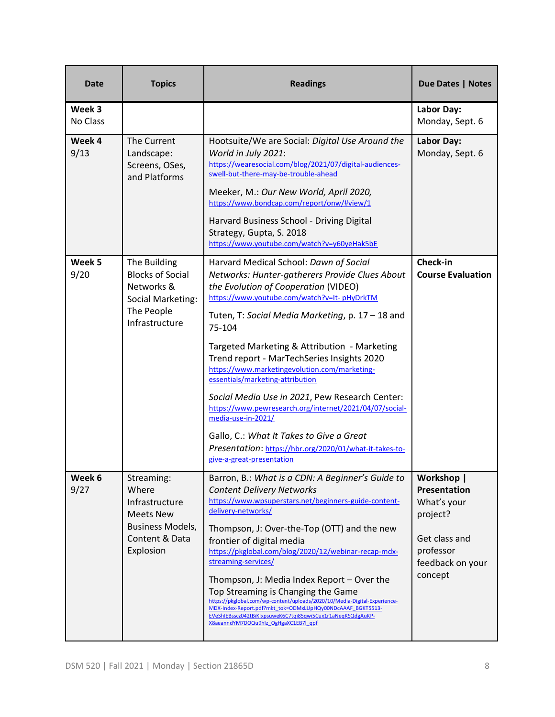| Date               | <b>Topics</b>                                                                                                       | <b>Readings</b>                                                                                                                                                                                                                                                                                                                                                                                                                                                                                                                                                                                                                                                                                         | <b>Due Dates   Notes</b>                                                                                           |
|--------------------|---------------------------------------------------------------------------------------------------------------------|---------------------------------------------------------------------------------------------------------------------------------------------------------------------------------------------------------------------------------------------------------------------------------------------------------------------------------------------------------------------------------------------------------------------------------------------------------------------------------------------------------------------------------------------------------------------------------------------------------------------------------------------------------------------------------------------------------|--------------------------------------------------------------------------------------------------------------------|
| Week 3<br>No Class |                                                                                                                     |                                                                                                                                                                                                                                                                                                                                                                                                                                                                                                                                                                                                                                                                                                         | <b>Labor Day:</b><br>Monday, Sept. 6                                                                               |
| Week 4<br>9/13     | The Current<br>Landscape:<br>Screens, OSes,<br>and Platforms                                                        | Hootsuite/We are Social: Digital Use Around the<br>World in July 2021:<br>https://wearesocial.com/blog/2021/07/digital-audiences-<br>swell-but-there-may-be-trouble-ahead<br>Meeker, M.: Our New World, April 2020,<br>https://www.bondcap.com/report/onw/#view/1<br>Harvard Business School - Driving Digital<br>Strategy, Gupta, S. 2018<br>https://www.youtube.com/watch?v=y60yeHak5bE                                                                                                                                                                                                                                                                                                               | <b>Labor Day:</b><br>Monday, Sept. 6                                                                               |
| Week 5<br>9/20     | The Building<br><b>Blocks of Social</b><br>Networks &<br>Social Marketing:<br>The People<br>Infrastructure          | Harvard Medical School: Dawn of Social<br>Networks: Hunter-gatherers Provide Clues About<br>the Evolution of Cooperation (VIDEO)<br>https://www.youtube.com/watch?v=It-pHyDrkTM<br>Tuten, T: Social Media Marketing, p. 17 - 18 and<br>75-104<br>Targeted Marketing & Attribution - Marketing<br>Trend report - MarTechSeries Insights 2020<br>https://www.marketingevolution.com/marketing-<br>essentials/marketing-attribution<br>Social Media Use in 2021, Pew Research Center:<br>https://www.pewresearch.org/internet/2021/04/07/social-<br>media-use-in-2021/<br>Gallo, C.: What It Takes to Give a Great<br>Presentation: https://hbr.org/2020/01/what-it-takes-to-<br>give-a-great-presentation | Check-in<br><b>Course Evaluation</b>                                                                               |
| Week 6<br>9/27     | Streaming:<br>Where<br>Infrastructure<br><b>Meets New</b><br><b>Business Models,</b><br>Content & Data<br>Explosion | Barron, B.: What is a CDN: A Beginner's Guide to<br><b>Content Delivery Networks</b><br>https://www.wpsuperstars.net/beginners-guide-content-<br>delivery-networks/<br>Thompson, J: Over-the-Top (OTT) and the new<br>frontier of digital media<br>https://pkglobal.com/blog/2020/12/webinar-recap-mdx-<br>streaming-services/<br>Thompson, J: Media Index Report - Over the<br>Top Streaming is Changing the Game<br>https://pkglobal.com/wp-content/uploads/2020/10/Media-Digital-Experience-<br>MDX-Index-Report.pdf?mkt_tok=ODMxLUpHQy00NDcAAAF_BGKT5513-<br>EVeShIEBsscz042tBiKIxpsuweK6C7tqi85qwi5Cux1r1aNeqKSQdgAuKP-<br>X8aeanndYM7DOQu9hlz OgHgaXC1EB7l qpf                                    | Workshop  <br>Presentation<br>What's your<br>project?<br>Get class and<br>professor<br>feedback on your<br>concept |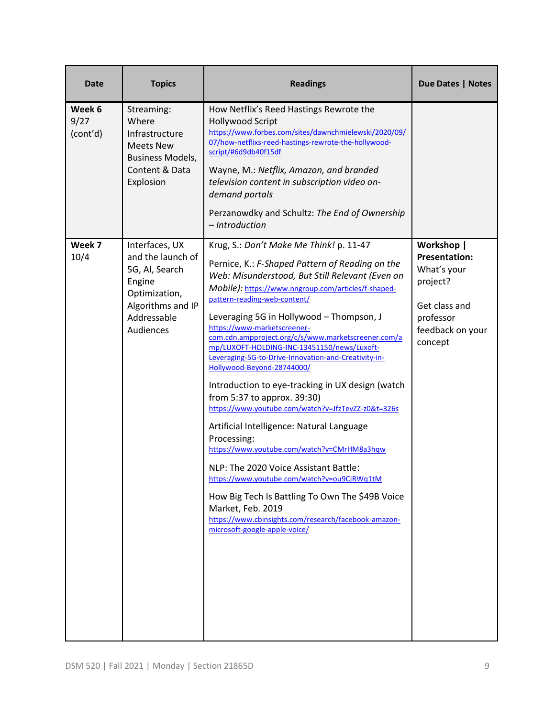| <b>Date</b>                | <b>Topics</b>                                                                                                                     | <b>Readings</b>                                                                                                                                                                                                                                                                                                                                                                                                                                                                                                                                                                                                                                                                                                                                                                                                                                                                                                                                                                                                          | Due Dates   Notes                                                                                                          |
|----------------------------|-----------------------------------------------------------------------------------------------------------------------------------|--------------------------------------------------------------------------------------------------------------------------------------------------------------------------------------------------------------------------------------------------------------------------------------------------------------------------------------------------------------------------------------------------------------------------------------------------------------------------------------------------------------------------------------------------------------------------------------------------------------------------------------------------------------------------------------------------------------------------------------------------------------------------------------------------------------------------------------------------------------------------------------------------------------------------------------------------------------------------------------------------------------------------|----------------------------------------------------------------------------------------------------------------------------|
| Week 6<br>9/27<br>(cont'd) | Streaming:<br>Where<br>Infrastructure<br><b>Meets New</b><br>Business Models,<br>Content & Data<br>Explosion                      | How Netflix's Reed Hastings Rewrote the<br><b>Hollywood Script</b><br>https://www.forbes.com/sites/dawnchmielewski/2020/09/<br>07/how-netflixs-reed-hastings-rewrote-the-hollywood-<br>script/#6d9db40f15df<br>Wayne, M.: Netflix, Amazon, and branded<br>television content in subscription video on-<br>demand portals<br>Perzanowdky and Schultz: The End of Ownership<br>- Introduction                                                                                                                                                                                                                                                                                                                                                                                                                                                                                                                                                                                                                              |                                                                                                                            |
| Week 7<br>10/4             | Interfaces, UX<br>and the launch of<br>5G, AI, Search<br>Engine<br>Optimization,<br>Algorithms and IP<br>Addressable<br>Audiences | Krug, S.: Don't Make Me Think! p. 11-47<br>Pernice, K.: F-Shaped Pattern of Reading on the<br>Web: Misunderstood, But Still Relevant (Even on<br>Mobile): https://www.nngroup.com/articles/f-shaped-<br>pattern-reading-web-content/<br>Leveraging 5G in Hollywood - Thompson, J<br>https://www-marketscreener-<br>com.cdn.ampproject.org/c/s/www.marketscreener.com/a<br>mp/LUXOFT-HOLDING-INC-13451150/news/Luxoft-<br>Leveraging-5G-to-Drive-Innovation-and-Creativity-in-<br>Hollywood-Beyond-28744000/<br>Introduction to eye-tracking in UX design (watch<br>from 5:37 to approx. 39:30)<br>https://www.youtube.com/watch?v=JfzTevZZ-z0&t=326s<br>Artificial Intelligence: Natural Language<br>Processing:<br>https://www.youtube.com/watch?v=CMrHM8a3hqw<br>NLP: The 2020 Voice Assistant Battle:<br>https://www.youtube.com/watch?v=ou9CjRWq1tM<br>How Big Tech Is Battling To Own The \$49B Voice<br>Market, Feb. 2019<br>https://www.cbinsights.com/research/facebook-amazon-<br>microsoft-google-apple-voice/ | Workshop  <br><b>Presentation:</b><br>What's your<br>project?<br>Get class and<br>professor<br>feedback on your<br>concept |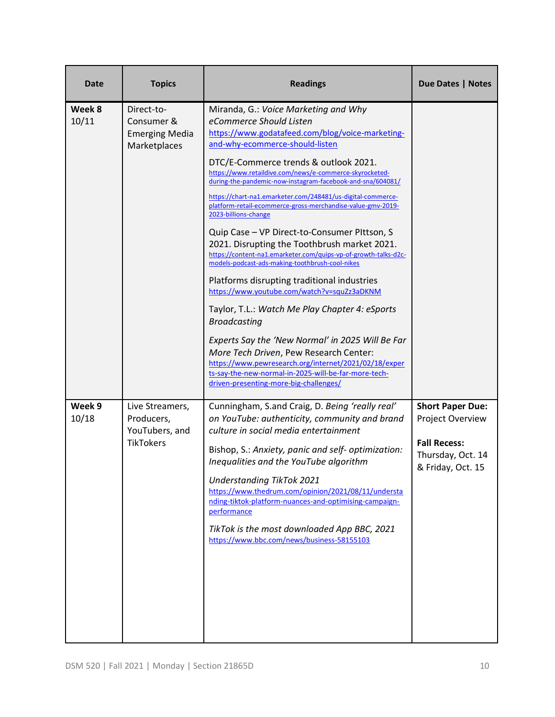| <b>Date</b>     | <b>Topics</b>                                                     | <b>Readings</b>                                                                                                                                                                                                                                                                                                      | Due Dates   Notes                                             |
|-----------------|-------------------------------------------------------------------|----------------------------------------------------------------------------------------------------------------------------------------------------------------------------------------------------------------------------------------------------------------------------------------------------------------------|---------------------------------------------------------------|
| Week 8<br>10/11 | Direct-to-<br>Consumer &<br><b>Emerging Media</b><br>Marketplaces | Miranda, G.: Voice Marketing and Why<br>eCommerce Should Listen<br>https://www.godatafeed.com/blog/voice-marketing-<br>and-why-ecommerce-should-listen                                                                                                                                                               |                                                               |
|                 |                                                                   | DTC/E-Commerce trends & outlook 2021.<br>https://www.retaildive.com/news/e-commerce-skyrocketed-<br>during-the-pandemic-now-instagram-facebook-and-sna/604081/<br>https://chart-na1.emarketer.com/248481/us-digital-commerce-<br>platform-retail-ecommerce-gross-merchandise-value-gmv-2019-<br>2023-billions-change |                                                               |
|                 |                                                                   | Quip Case - VP Direct-to-Consumer PIttson, S<br>2021. Disrupting the Toothbrush market 2021.<br>https://content-na1.emarketer.com/quips-vp-of-growth-talks-d2c-<br>models-podcast-ads-making-toothbrush-cool-nikes                                                                                                   |                                                               |
|                 |                                                                   | Platforms disrupting traditional industries<br>https://www.youtube.com/watch?v=squZz3aDKNM                                                                                                                                                                                                                           |                                                               |
|                 |                                                                   | Taylor, T.L.: Watch Me Play Chapter 4: eSports<br><b>Broadcasting</b>                                                                                                                                                                                                                                                |                                                               |
|                 |                                                                   | Experts Say the 'New Normal' in 2025 Will Be Far<br>More Tech Driven, Pew Research Center:<br>https://www.pewresearch.org/internet/2021/02/18/exper<br>ts-say-the-new-normal-in-2025-will-be-far-more-tech-<br>driven-presenting-more-big-challenges/                                                                |                                                               |
| Week 9<br>10/18 | Live Streamers,<br>Producers,<br>YouTubers, and                   | Cunningham, S.and Craig, D. Being 'really real'<br>on YouTube: authenticity, community and brand<br>culture in social media entertainment                                                                                                                                                                            | <b>Short Paper Due:</b><br>Project Overview                   |
|                 | <b>TikTokers</b>                                                  | Bishop, S.: Anxiety, panic and self- optimization:<br>Inequalities and the YouTube algorithm                                                                                                                                                                                                                         | <b>Fall Recess:</b><br>Thursday, Oct. 14<br>& Friday, Oct. 15 |
|                 |                                                                   | <b>Understanding TikTok 2021</b><br>https://www.thedrum.com/opinion/2021/08/11/understa<br>nding-tiktok-platform-nuances-and-optimising-campaign-<br>performance                                                                                                                                                     |                                                               |
|                 |                                                                   | TikTok is the most downloaded App BBC, 2021<br>https://www.bbc.com/news/business-58155103                                                                                                                                                                                                                            |                                                               |
|                 |                                                                   |                                                                                                                                                                                                                                                                                                                      |                                                               |
|                 |                                                                   |                                                                                                                                                                                                                                                                                                                      |                                                               |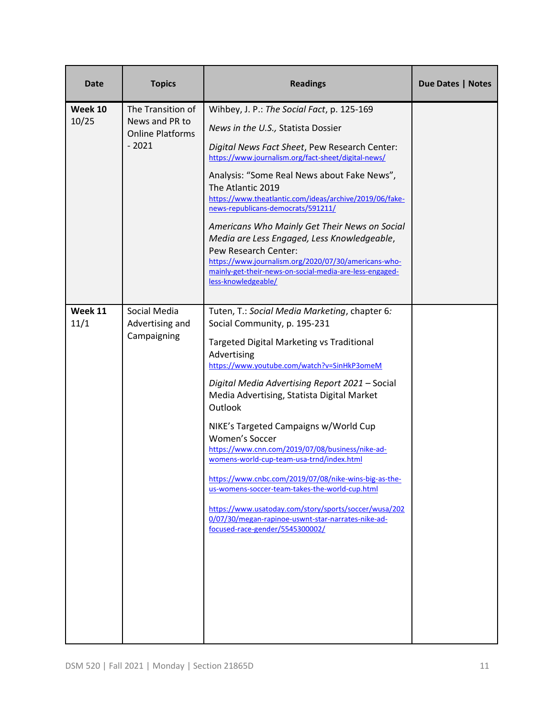| Date    | <b>Topics</b>                                                           | <b>Readings</b>                                                                                                                                                                                                                                                | Due Dates   Notes |
|---------|-------------------------------------------------------------------------|----------------------------------------------------------------------------------------------------------------------------------------------------------------------------------------------------------------------------------------------------------------|-------------------|
| Week 10 | The Transition of<br>10/25<br>News and PR to<br><b>Online Platforms</b> | Wihbey, J. P.: The Social Fact, p. 125-169                                                                                                                                                                                                                     |                   |
|         |                                                                         | News in the U.S., Statista Dossier                                                                                                                                                                                                                             |                   |
|         | $-2021$                                                                 | Digital News Fact Sheet, Pew Research Center:<br>https://www.journalism.org/fact-sheet/digital-news/                                                                                                                                                           |                   |
|         |                                                                         | Analysis: "Some Real News about Fake News",<br>The Atlantic 2019<br>https://www.theatlantic.com/ideas/archive/2019/06/fake-<br>news-republicans-democrats/591211/                                                                                              |                   |
|         |                                                                         | Americans Who Mainly Get Their News on Social<br>Media are Less Engaged, Less Knowledgeable,<br>Pew Research Center:<br>https://www.journalism.org/2020/07/30/americans-who-<br>mainly-get-their-news-on-social-media-are-less-engaged-<br>less-knowledgeable/ |                   |
| Week 11 | Social Media                                                            | Tuten, T.: Social Media Marketing, chapter 6:                                                                                                                                                                                                                  |                   |
| 11/1    | Advertising and                                                         | Social Community, p. 195-231                                                                                                                                                                                                                                   |                   |
|         | Campaigning                                                             | <b>Targeted Digital Marketing vs Traditional</b><br>Advertising<br>https://www.youtube.com/watch?v=SinHkP3omeM                                                                                                                                                 |                   |
|         |                                                                         | Digital Media Advertising Report 2021 - Social<br>Media Advertising, Statista Digital Market<br>Outlook                                                                                                                                                        |                   |
|         |                                                                         | NIKE's Targeted Campaigns w/World Cup                                                                                                                                                                                                                          |                   |
|         |                                                                         | Women's Soccer<br>https://www.cnn.com/2019/07/08/business/nike-ad-                                                                                                                                                                                             |                   |
|         |                                                                         | womens-world-cup-team-usa-trnd/index.html                                                                                                                                                                                                                      |                   |
|         |                                                                         | https://www.cnbc.com/2019/07/08/nike-wins-big-as-the-<br>us-womens-soccer-team-takes-the-world-cup.html                                                                                                                                                        |                   |
|         |                                                                         | https://www.usatoday.com/story/sports/soccer/wusa/202<br>0/07/30/megan-rapinoe-uswnt-star-narrates-nike-ad-<br>focused-race-gender/5545300002/                                                                                                                 |                   |
|         |                                                                         |                                                                                                                                                                                                                                                                |                   |
|         |                                                                         |                                                                                                                                                                                                                                                                |                   |
|         |                                                                         |                                                                                                                                                                                                                                                                |                   |
|         |                                                                         |                                                                                                                                                                                                                                                                |                   |
|         |                                                                         |                                                                                                                                                                                                                                                                |                   |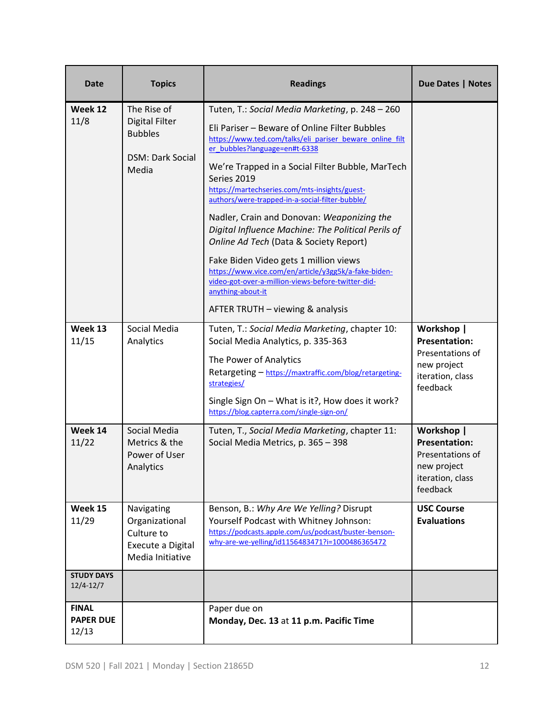| Date                                      | <b>Topics</b>                                                                              | <b>Readings</b>                                                                                                                                                                                                                                                                                                                                                                                                                                                                                                                                                                                                                                                                                                                    | <b>Due Dates   Notes</b>                                                                              |
|-------------------------------------------|--------------------------------------------------------------------------------------------|------------------------------------------------------------------------------------------------------------------------------------------------------------------------------------------------------------------------------------------------------------------------------------------------------------------------------------------------------------------------------------------------------------------------------------------------------------------------------------------------------------------------------------------------------------------------------------------------------------------------------------------------------------------------------------------------------------------------------------|-------------------------------------------------------------------------------------------------------|
| Week 12<br>11/8                           | The Rise of<br><b>Digital Filter</b><br><b>Bubbles</b><br><b>DSM: Dark Social</b><br>Media | Tuten, T.: Social Media Marketing, p. 248 - 260<br>Eli Pariser - Beware of Online Filter Bubbles<br>https://www.ted.com/talks/eli pariser beware online filt<br>er bubbles?language=en#t-6338<br>We're Trapped in a Social Filter Bubble, MarTech<br>Series 2019<br>https://martechseries.com/mts-insights/guest-<br>authors/were-trapped-in-a-social-filter-bubble/<br>Nadler, Crain and Donovan: Weaponizing the<br>Digital Influence Machine: The Political Perils of<br>Online Ad Tech (Data & Society Report)<br>Fake Biden Video gets 1 million views<br>https://www.vice.com/en/article/y3gg5k/a-fake-biden-<br>video-got-over-a-million-views-before-twitter-did-<br>anything-about-it<br>AFTER TRUTH - viewing & analysis |                                                                                                       |
| Week 13<br>11/15                          | Social Media<br>Analytics                                                                  | Tuten, T.: Social Media Marketing, chapter 10:<br>Social Media Analytics, p. 335-363<br>The Power of Analytics<br>Retargeting - https://maxtraffic.com/blog/retargeting-<br>strategies/<br>Single Sign On - What is it?, How does it work?<br>https://blog.capterra.com/single-sign-on/                                                                                                                                                                                                                                                                                                                                                                                                                                            | Workshop  <br><b>Presentation:</b><br>Presentations of<br>new project<br>iteration, class<br>feedback |
| Week 14<br>11/22                          | Social Media<br>Metrics & the<br>Power of User<br>Analytics                                | Tuten, T., Social Media Marketing, chapter 11:<br>Social Media Metrics, p. 365 - 398                                                                                                                                                                                                                                                                                                                                                                                                                                                                                                                                                                                                                                               | Workshop  <br><b>Presentation:</b><br>Presentations of<br>new project<br>iteration, class<br>feedback |
| Week 15<br>11/29                          | Navigating<br>Organizational<br>Culture to<br>Execute a Digital<br>Media Initiative        | Benson, B.: Why Are We Yelling? Disrupt<br>Yourself Podcast with Whitney Johnson:<br>https://podcasts.apple.com/us/podcast/buster-benson-<br>why-are-we-yelling/id1156483471?i=1000486365472                                                                                                                                                                                                                                                                                                                                                                                                                                                                                                                                       | <b>USC Course</b><br><b>Evaluations</b>                                                               |
| <b>STUDY DAYS</b><br>$12/4 - 12/7$        |                                                                                            |                                                                                                                                                                                                                                                                                                                                                                                                                                                                                                                                                                                                                                                                                                                                    |                                                                                                       |
| <b>FINAL</b><br><b>PAPER DUE</b><br>12/13 |                                                                                            | Paper due on<br>Monday, Dec. 13 at 11 p.m. Pacific Time                                                                                                                                                                                                                                                                                                                                                                                                                                                                                                                                                                                                                                                                            |                                                                                                       |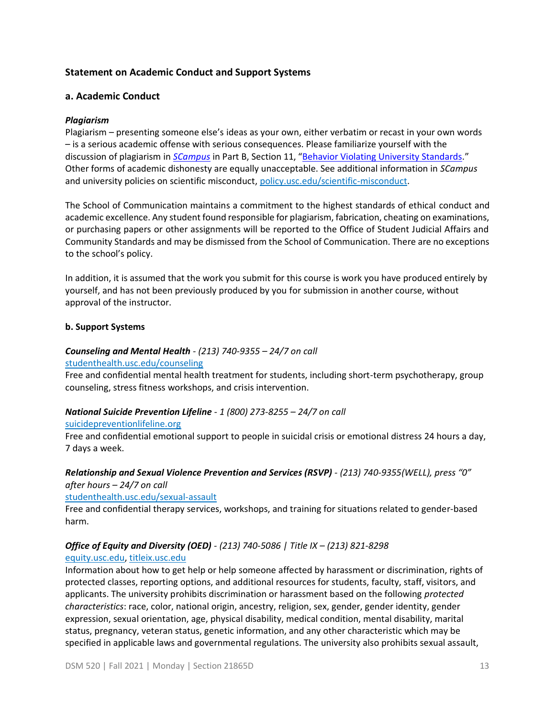## **Statement on Academic Conduct and Support Systems**

## **a. Academic Conduct**

## *Plagiarism*

Plagiarism – presenting someone else's ideas as your own, either verbatim or recast in your own words – is a serious academic offense with serious consequences. Please familiarize yourself with the discussion of plagiarism in *[SCampus](https://policy.usc.edu/scampus/)* in Part B, Section 11, "[Behavior Violating University Standards.](https://policy.usc.edu/files/2020/07/SCampus-Part-B-2.pdf)" Other forms of academic dishonesty are equally unacceptable. See additional information in *SCampus* and university policies on scientific misconduct[, policy.usc.edu/scientific-misconduct.](http://policy.usc.edu/scientific-misconduct)

The School of Communication maintains a commitment to the highest standards of ethical conduct and academic excellence. Any student found responsible for plagiarism, fabrication, cheating on examinations, or purchasing papers or other assignments will be reported to the Office of Student Judicial Affairs and Community Standards and may be dismissed from the School of Communication. There are no exceptions to the school's policy.

In addition, it is assumed that the work you submit for this course is work you have produced entirely by yourself, and has not been previously produced by you for submission in another course, without approval of the instructor.

### **b. Support Systems**

## *Counseling and Mental Health - (213) 740-9355 – 24/7 on call*

### [studenthealth.usc.edu/counseling](https://studenthealth.usc.edu/counseling/)

Free and confidential mental health treatment for students, including short-term psychotherapy, group counseling, stress fitness workshops, and crisis intervention.

### *National Suicide Prevention Lifeline - 1 (800) 273-8255 – 24/7 on call*

### [suicidepreventionlifeline.org](http://www.suicidepreventionlifeline.org/)

Free and confidential emotional support to people in suicidal crisis or emotional distress 24 hours a day, 7 days a week.

## *Relationship and Sexual Violence Prevention and Services (RSVP) - (213) 740-9355(WELL), press "0" after hours – 24/7 on call*

### [studenthealth.usc.edu/sexual-assault](https://studenthealth.usc.edu/sexual-assault/)

Free and confidential therapy services, workshops, and training for situations related to gender-based harm[.](https://engemannshc.usc.edu/rsvp/)

## *Office of Equity and Diversity (OED) - (213) 740-5086 | Title IX – (213) 821-8298*

### [equity.usc.edu,](https://equity.usc.edu/) [titleix.usc.edu](http://titleix.usc.edu/)

Information about how to get help or help someone affected by harassment or discrimination, rights of protected classes, reporting options, and additional resources for students, faculty, staff, visitors, and applicants. The university prohibits discrimination or harassment based on the following *protected characteristics*: race, color, national origin, ancestry, religion, sex, gender, gender identity, gender expression, sexual orientation, age, physical disability, medical condition, mental disability, marital status, pregnancy, veteran status, genetic information, and any other characteristic which may be specified in applicable laws and governmental regulations. The university also prohibits sexual assault,